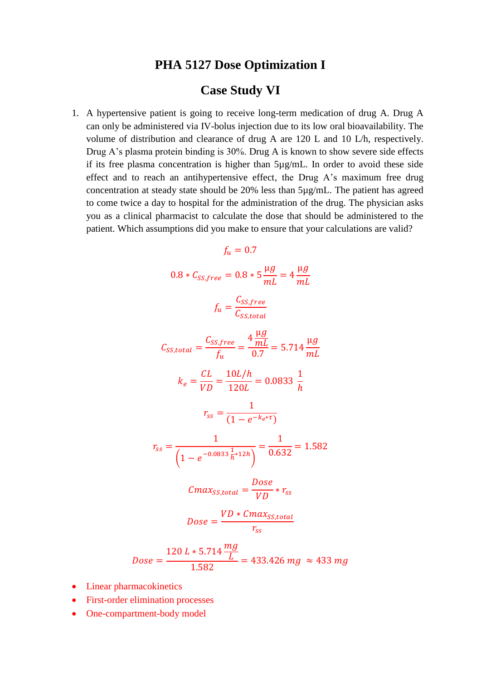## **PHA 5127 Dose Optimization I**

# **Case Study VI**

1. A hypertensive patient is going to receive long-term medication of drug A. Drug A can only be administered via IV-bolus injection due to its low oral bioavailability. The volume of distribution and clearance of drug A are 120 L and 10 L/h, respectively. Drug A's plasma protein binding is 30%. Drug A is known to show severe side effects if its free plasma concentration is higher than 5µg/mL. In order to avoid these side effect and to reach an antihypertensive effect, the Drug A's maximum free drug concentration at steady state should be 20% less than 5µg/mL. The patient has agreed to come twice a day to hospital for the administration of the drug. The physician asks you as a clinical pharmacist to calculate the dose that should be administered to the patient. Which assumptions did you make to ensure that your calculations are valid?

$$
f_u = 0.7
$$
  
\n
$$
0.8 * C_{SS,free} = 0.8 * 5 \frac{\mu g}{m} = 4 \frac{\mu g}{m}
$$
  
\n
$$
f_u = \frac{C_{SS,free}}{C_{SS,total}}
$$
  
\n
$$
C_{SS,total} = \frac{C_{SS,free}}{f_u} = \frac{4 \frac{\mu g}{m}}{0.7} = 5.714 \frac{\mu g}{m}
$$
  
\n
$$
k_e = \frac{CL}{VD} = \frac{10L/h}{120L} = 0.0833 \frac{1}{h}
$$
  
\n
$$
r_{ss} = \frac{1}{(1 - e^{-k_e * \tau})}
$$
  
\n
$$
r_{ss} = \frac{1}{(1 - e^{-0.0833} \frac{1}{h} * 12h)} = \frac{1}{0.632} = 1.582
$$
  
\n
$$
C_{max_{SS,total}} = \frac{Dose}{VD} * r_{ss}
$$
  
\n
$$
Dose = \frac{VD * C_{max_{SS,total}}}{r_{ss}}
$$

$$
Dose = \frac{120 L * 5.714 \frac{m g}{L}}{1.582} = 433.426 mg \approx 433 mg
$$

- Linear pharmacokinetics
- First-order elimination processes
- One-compartment-body model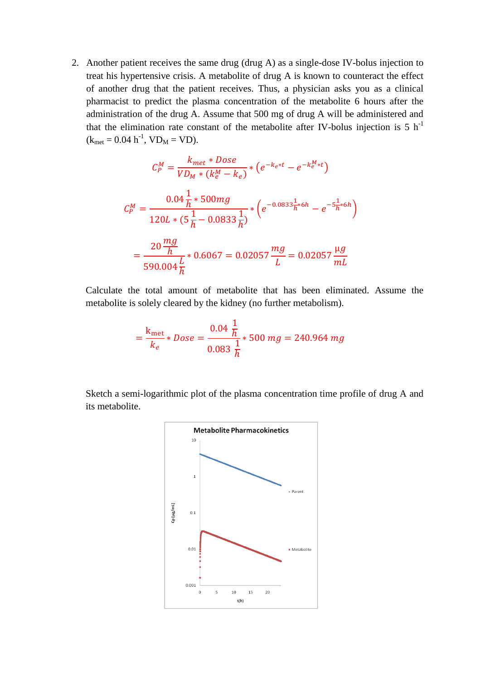2. Another patient receives the same drug (drug A) as a single-dose IV-bolus injection to treat his hypertensive crisis. A metabolite of drug A is known to counteract the effect of another drug that the patient receives. Thus, a physician asks you as a clinical pharmacist to predict the plasma concentration of the metabolite 6 hours after the administration of the drug A. Assume that 500 mg of drug A will be administered and that the elimination rate constant of the metabolite after IV-bolus injection is  $5 h^{-1}$  $(k_{met} = 0.04 h^{-1}, V D_M = V D).$ 

$$
C_P^M = \frac{k_{met} * Dose}{VD_M * (k_e^M - k_e)} * (e^{-k_e * t} - e^{-k_e^M * t})
$$
  

$$
C_P^M = \frac{0.04 \frac{1}{h} * 500mg}{120L * (5\frac{1}{h} - 0.0833\frac{1}{h})} * (e^{-0.0833\frac{1}{h} * 6h} - e^{-5\frac{1}{h} * 6h})
$$
  

$$
= \frac{20 \frac{mg}{h}}{590.004 \frac{L}{h}} * 0.6067 = 0.02057 \frac{mg}{L} = 0.02057 \frac{\mu g}{mL}
$$

Calculate the total amount of metabolite that has been eliminated. Assume the metabolite is solely cleared by the kidney (no further metabolism).

$$
= \frac{k_{\text{met}}}{k_e} * Dose = \frac{0.04 \frac{1}{h}}{0.083 \frac{1}{h}} * 500 mg = 240.964 mg
$$

Sketch a semi-logarithmic plot of the plasma concentration time profile of drug A and its metabolite.

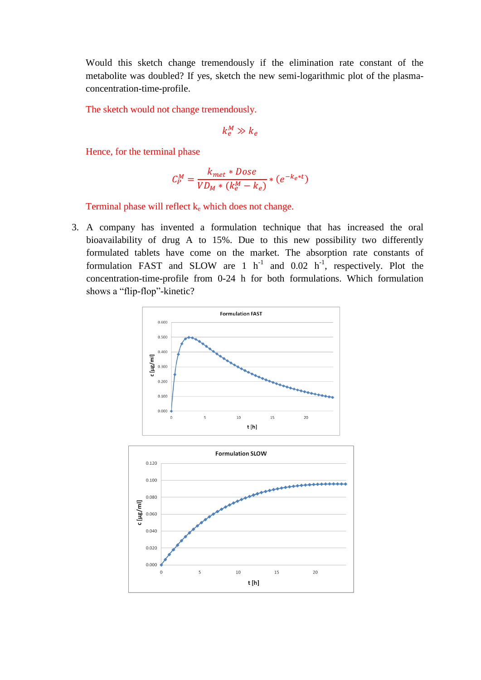Would this sketch change tremendously if the elimination rate constant of the metabolite was doubled? If yes, sketch the new semi-logarithmic plot of the plasmaconcentration-time-profile.

The sketch would not change tremendously.

 $k_e^M$ 

Hence, for the terminal phase

$$
C_P^M = \frac{k_{met} * Dose}{VD_M * (k_e^M - k_e)} * (e^{-k_e * t})
$$

Terminal phase will reflect ke which does not change.

3. A company has invented a formulation technique that has increased the oral bioavailability of drug A to 15%. Due to this new possibility two differently formulated tablets have come on the market. The absorption rate constants of formulation FAST and SLOW are 1  $h^{-1}$  and 0.02  $h^{-1}$ , respectively. Plot the concentration-time-profile from 0-24 h for both formulations. Which formulation shows a "flip-flop"-kinetic?